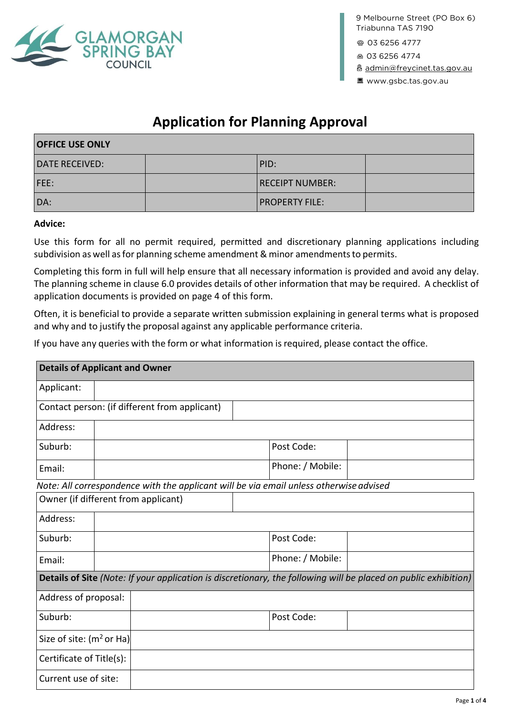

**9 Melbourne Street (PO Box 6)**

**03 6256 4777**

**03 6256 [4774](mailto:admin@freycinet.tas.gov.au)**

**admin@freycinet.tas.gov.au www.gsbc.tas.gov.au**

# **Application for Planning Approval**

| <b>OFFICE USE ONLY</b> |  |                        |  |
|------------------------|--|------------------------|--|
| <b>DATE RECEIVED:</b>  |  | PID:                   |  |
| FEE:                   |  | <b>RECEIPT NUMBER:</b> |  |
| DA:                    |  | <b>PROPERTY FILE:</b>  |  |

#### **Advice:**

Use this form for all no permit required, permitted and discretionary planning applications including subdivision as well as for planning scheme amendment & minor amendments to permits.

Completing this form in full will help ensure that all necessary information is provided and avoid any delay. The planning scheme in clause 6.0 provides details of other information that may be required. A checklist of application documents is provided on page 4 of this form.

Often, it is beneficial to provide a separate written submission explaining in general terms what is proposed and why and to justify the proposal against any applicable performance criteria.

If you have any queries with the form or what information is required, please contact the office.

| <b>Details of Applicant and Owner</b> |  |                                                                                        |  |                  |                                                                                                                 |
|---------------------------------------|--|----------------------------------------------------------------------------------------|--|------------------|-----------------------------------------------------------------------------------------------------------------|
| Applicant:                            |  |                                                                                        |  |                  |                                                                                                                 |
|                                       |  | Contact person: (if different from applicant)                                          |  |                  |                                                                                                                 |
| Address:                              |  |                                                                                        |  |                  |                                                                                                                 |
| Suburb:                               |  |                                                                                        |  | Post Code:       |                                                                                                                 |
| Email:                                |  |                                                                                        |  | Phone: / Mobile: |                                                                                                                 |
|                                       |  | Note: All correspondence with the applicant will be via email unless otherwise advised |  |                  |                                                                                                                 |
| Owner (if different from applicant)   |  |                                                                                        |  |                  |                                                                                                                 |
| Address:                              |  |                                                                                        |  |                  |                                                                                                                 |
| Suburb:                               |  |                                                                                        |  | Post Code:       |                                                                                                                 |
| Email:                                |  |                                                                                        |  | Phone: / Mobile: |                                                                                                                 |
|                                       |  |                                                                                        |  |                  | Details of Site (Note: If your application is discretionary, the following will be placed on public exhibition) |
| Address of proposal:                  |  |                                                                                        |  |                  |                                                                                                                 |
| Suburb:                               |  |                                                                                        |  | Post Code:       |                                                                                                                 |
| Size of site: $(m2 or Ha)$            |  |                                                                                        |  |                  |                                                                                                                 |
| Certificate of Title(s):              |  |                                                                                        |  |                  |                                                                                                                 |
| Current use of site:                  |  |                                                                                        |  |                  |                                                                                                                 |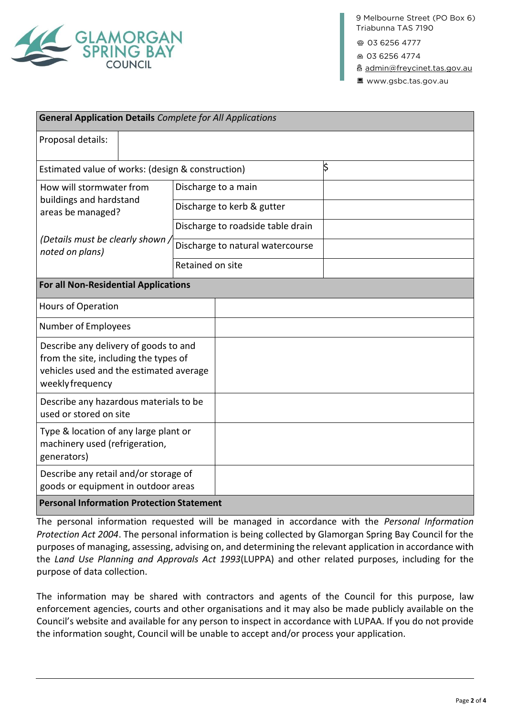

**9 Melbourne Street (PO Box 6)**

**03 6256 4777**

**03 6256 [4774](mailto:admin@freycinet.tas.gov.au)**

**admin@freycinet.tas.gov.au www.gsbc.tas.gov.au**

| <b>General Application Details Complete for All Applications</b>                                                                              |                                   |  |  |  |
|-----------------------------------------------------------------------------------------------------------------------------------------------|-----------------------------------|--|--|--|
| Proposal details:                                                                                                                             |                                   |  |  |  |
| \$<br>Estimated value of works: (design & construction)                                                                                       |                                   |  |  |  |
| How will stormwater from<br>buildings and hardstand<br>areas be managed?<br>(Details must be clearly shown)<br>noted on plans)                | Discharge to a main               |  |  |  |
|                                                                                                                                               | Discharge to kerb & gutter        |  |  |  |
|                                                                                                                                               | Discharge to roadside table drain |  |  |  |
|                                                                                                                                               | Discharge to natural watercourse  |  |  |  |
|                                                                                                                                               | Retained on site                  |  |  |  |
| <b>For all Non-Residential Applications</b>                                                                                                   |                                   |  |  |  |
| <b>Hours of Operation</b>                                                                                                                     |                                   |  |  |  |
| Number of Employees                                                                                                                           |                                   |  |  |  |
| Describe any delivery of goods to and<br>from the site, including the types of<br>vehicles used and the estimated average<br>weekly frequency |                                   |  |  |  |
| Describe any hazardous materials to be<br>used or stored on site                                                                              |                                   |  |  |  |
| Type & location of any large plant or<br>machinery used (refrigeration,<br>generators)                                                        |                                   |  |  |  |
| Describe any retail and/or storage of<br>goods or equipment in outdoor areas                                                                  |                                   |  |  |  |
| <b>Personal Information Protection Statement</b>                                                                                              |                                   |  |  |  |

The personal information requested will be managed in accordance with the *Personal Information Protection Act 2004*. The personal information is being collected by Glamorgan Spring Bay Council for the purposes of managing, assessing, advising on, and determining the relevant application in accordance with the *Land Use Planning and Approvals Act 1993*(LUPPA) and other related purposes, including for the purpose of data collection.

The information may be shared with contractors and agents of the Council for this purpose, law enforcement agencies, courts and other organisations and it may also be made publicly available on the Council's website and available for any person to inspect in accordance with LUPAA. If you do not provide the information sought, Council will be unable to accept and/or process your application.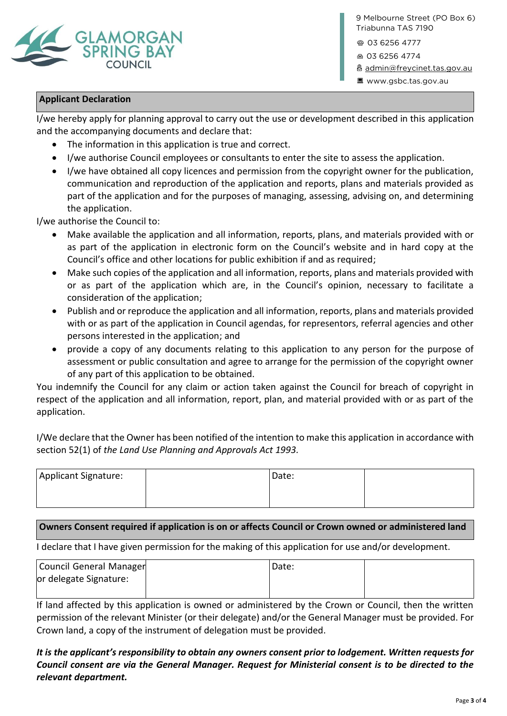

9 Melbourne Street (PO Box 6) **1** Triabunna TAS 7190

**03 6256 4777**

**03 6256 [4774](mailto:admin@freycinet.tas.gov.au)**

**admin@freycinet.tas.gov.au www.gsbc.tas.gov.au**

### **Applicant Declaration**

I/we hereby apply for planning approval to carry out the use or development described in this application and the accompanying documents and declare that:

- The information in this application is true and correct.
- I/we authorise Council employees or consultants to enter the site to assess the application.
- I/we have obtained all copy licences and permission from the copyright owner for the publication, communication and reproduction of the application and reports, plans and materials provided as part of the application and for the purposes of managing, assessing, advising on, and determining the application.

I/we authorise the Council to:

- Make available the application and all information, reports, plans, and materials provided with or as part of the application in electronic form on the Council's website and in hard copy at the Council's office and other locations for public exhibition if and as required;
- Make such copies of the application and all information, reports, plans and materials provided with or as part of the application which are, in the Council's opinion, necessary to facilitate a consideration of the application;
- Publish and or reproduce the application and all information, reports, plans and materials provided with or as part of the application in Council agendas, for representors, referral agencies and other persons interested in the application; and
- provide a copy of any documents relating to this application to any person for the purpose of assessment or public consultation and agree to arrange for the permission of the copyright owner of any part of this application to be obtained.

You indemnify the Council for any claim or action taken against the Council for breach of copyright in respect of the application and all information, report, plan, and material provided with or as part of the application.

I/We declare that the Owner has been notified of the intention to make this application in accordance with section 52(1) of *the Land Use Planning and Approvals Act 1993.*

| Applicant Signature: | Date: |  |
|----------------------|-------|--|
|                      |       |  |

## **Owners Consent required if application is on or affects Council or Crown owned or administered land**

I declare that I have given permission for the making of this application for use and/or development.

| Council General Manager | Date: |  |
|-------------------------|-------|--|
| or delegate Signature:  |       |  |
|                         |       |  |

If land affected by this application is owned or administered by the Crown or Council, then the written permission of the relevant Minister (or their delegate) and/or the General Manager must be provided. For Crown land, a copy of the instrument of delegation must be provided.

# *It is the applicant's responsibility to obtain any owners consent prior to lodgement. Written requests for Council consent are via the General Manager. Request for Ministerial consent is to be directed to the relevant department.*